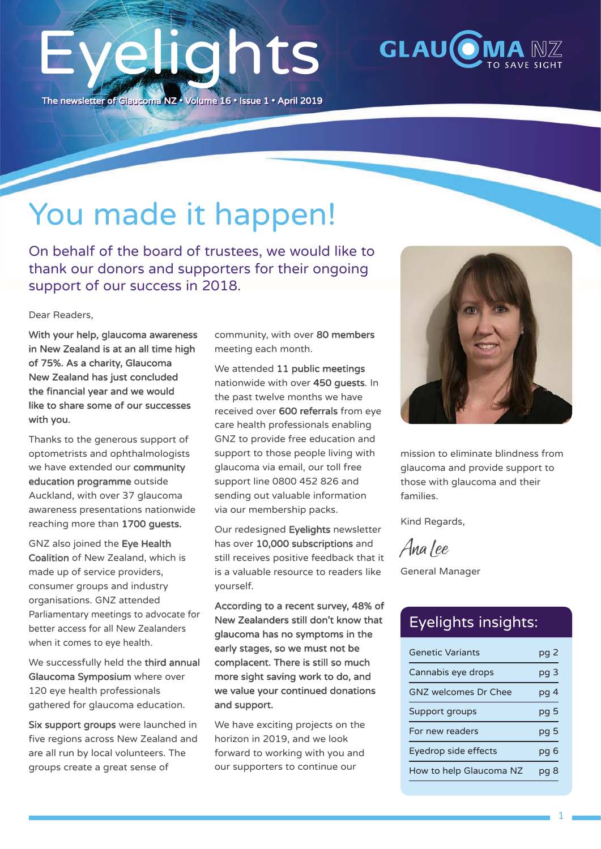## Eyelights The newsletter of Glaucoma NZ • Volume 16 • Issue 1 • April 2019



## You made it happen!

On behalf of the board of trustees, we would like to thank our donors and supporters for their ongoing support of our success in 2018.

Dear Readers,

With your help, glaucoma awareness in New Zealand is at an all time high of 75%. As a charity, Glaucoma New Zealand has just concluded the financial year and we would like to share some of our successes with you.

Thanks to the generous support of optometrists and ophthalmologists we have extended our community education programme outside Auckland, with over 37 glaucoma awareness presentations nationwide reaching more than 1700 guests.

GNZ also joined the Eye Health Coalition of New Zealand, which is made up of service providers, consumer groups and industry organisations. GNZ attended Parliamentary meetings to advocate for better access for all New Zealanders when it comes to eye health.

We successfully held the third annual Glaucoma Symposium where over 120 eye health professionals gathered for glaucoma education.

Six support groups were launched in five regions across New Zealand and are all run by local volunteers. The groups create a great sense of

community, with over 80 members meeting each month.

We attended 11 public meetings nationwide with over 450 guests. In the past twelve months we have received over 600 referrals from eye care health professionals enabling GNZ to provide free education and support to those people living with glaucoma via email, our toll free support line 0800 452 826 and sending out valuable information via our membership packs.

Our redesigned Eyelights newsletter has over 10,000 subscriptions and still receives positive feedback that it is a valuable resource to readers like yourself.

According to a recent survey, 48% of New Zealanders still don't know that glaucoma has no symptoms in the early stages, so we must not be complacent. There is still so much more sight saving work to do, and we value your continued donations and support.

We have exciting projects on the horizon in 2019, and we look forward to working with you and our supporters to continue our



mission to eliminate blindness from glaucoma and provide support to those with glaucoma and their families.

Kind Regards,

Ana Lee

General Manager

#### Eyelights insights:

| <b>Genetic Variants</b>     | pg 2 |
|-----------------------------|------|
| Cannabis eye drops          | pg 3 |
| <b>GNZ</b> welcomes Dr Chee | pg 4 |
| Support groups              | pg 5 |
| For new readers             | pg 5 |
| Eyedrop side effects        | pg 6 |
| How to help Glaucoma NZ     |      |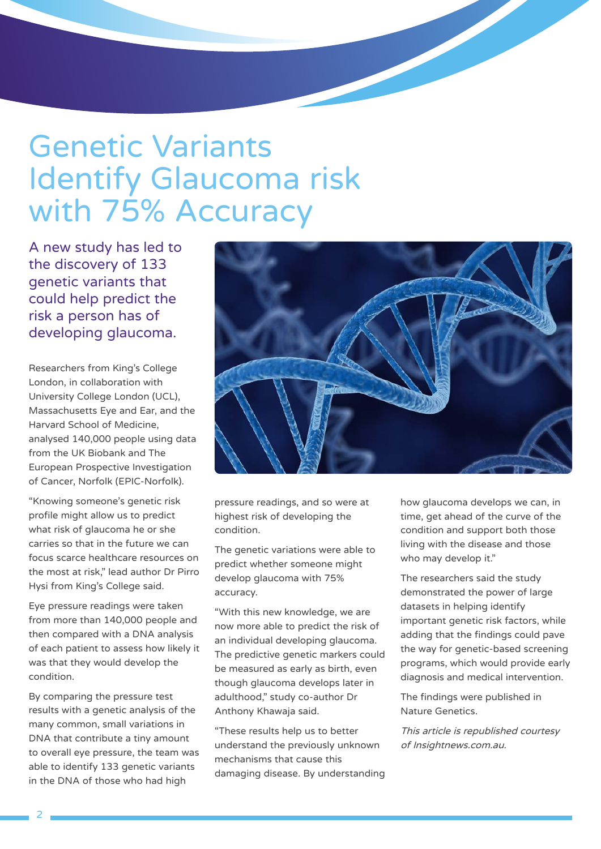## Genetic Variants Identify Glaucoma risk with 75% Accuracy

A new study has led to the discovery of 133 genetic variants that could help predict the risk a person has of developing glaucoma.

Researchers from King's College London, in collaboration with University College London (UCL), Massachusetts Eye and Ear, and the Harvard School of Medicine, analysed 140,000 people using data from the UK Biobank and The European Prospective Investigation of Cancer, Norfolk (EPIC-Norfolk).

"Knowing someone's genetic risk profile might allow us to predict what risk of glaucoma he or she carries so that in the future we can focus scarce healthcare resources on the most at risk," lead author Dr Pirro Hysi from King's College said.

Eye pressure readings were taken from more than 140,000 people and then compared with a DNA analysis of each patient to assess how likely it was that they would develop the condition.

By comparing the pressure test results with a genetic analysis of the many common, small variations in DNA that contribute a tiny amount to overall eye pressure, the team was able to identify 133 genetic variants in the DNA of those who had high



pressure readings, and so were at highest risk of developing the condition.

The genetic variations were able to predict whether someone might develop glaucoma with 75% accuracy.

"With this new knowledge, we are now more able to predict the risk of an individual developing glaucoma. The predictive genetic markers could be measured as early as birth, even though glaucoma develops later in adulthood," study co-author Dr Anthony Khawaja said.

"These results help us to better understand the previously unknown mechanisms that cause this damaging disease. By understanding how glaucoma develops we can, in time, get ahead of the curve of the condition and support both those living with the disease and those who may develop it."

The researchers said the study demonstrated the power of large datasets in helping identify important genetic risk factors, while adding that the findings could pave the way for genetic-based screening programs, which would provide early diagnosis and medical intervention.

The findings were published in Nature Genetics.

This article is republished courtesy of Insightnews.com.au.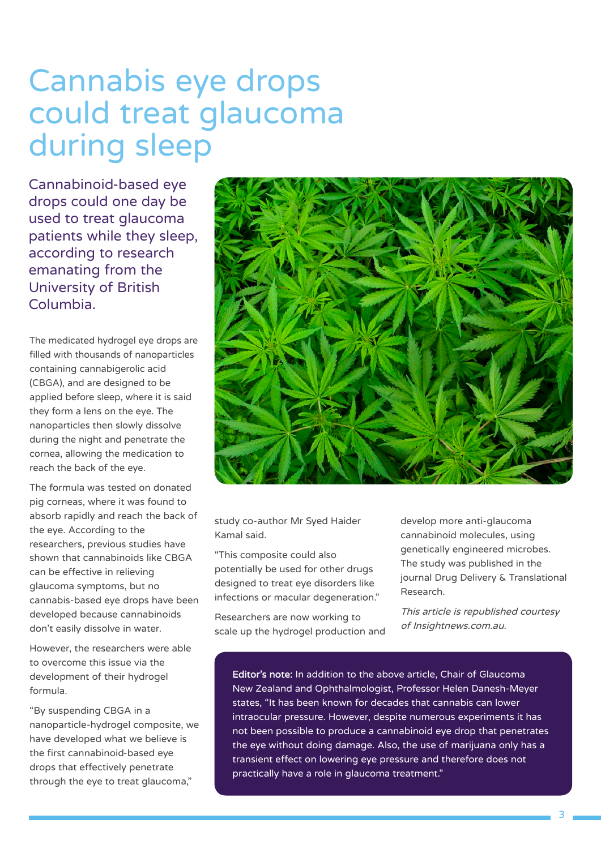## Cannabis eye drops could treat glaucoma during sleep

Cannabinoid-based eye drops could one day be used to treat glaucoma patients while they sleep, according to research emanating from the University of British Columbia.

The medicated hydrogel eye drops are filled with thousands of nanoparticles containing cannabigerolic acid (CBGA), and are designed to be applied before sleep, where it is said they form a lens on the eye. The nanoparticles then slowly dissolve during the night and penetrate the cornea, allowing the medication to reach the back of the eye.

The formula was tested on donated pig corneas, where it was found to absorb rapidly and reach the back of the eye. According to the researchers, previous studies have shown that cannabinoids like CBGA can be effective in relieving glaucoma symptoms, but no cannabis-based eye drops have been developed because cannabinoids don't easily dissolve in water.

However, the researchers were able to overcome this issue via the development of their hydrogel formula.

"By suspending CBGA in a nanoparticle-hydrogel composite, we have developed what we believe is the first cannabinoid-based eye drops that effectively penetrate through the eye to treat glaucoma,"



study co-author Mr Syed Haider Kamal said.

"This composite could also potentially be used for other drugs designed to treat eye disorders like infections or macular degeneration."

Researchers are now working to scale up the hydrogel production and develop more anti-glaucoma cannabinoid molecules, using genetically engineered microbes. The study was published in the journal Drug Delivery & Translational Research.

This article is republished courtesy of Insightnews.com.au.

Editor's note: In addition to the above article, Chair of Glaucoma New Zealand and Ophthalmologist, Professor Helen Danesh-Meyer states, "It has been known for decades that cannabis can lower intraocular pressure. However, despite numerous experiments it has not been possible to produce a cannabinoid eye drop that penetrates the eye without doing damage. Also, the use of marijuana only has a transient effect on lowering eye pressure and therefore does not practically have a role in glaucoma treatment."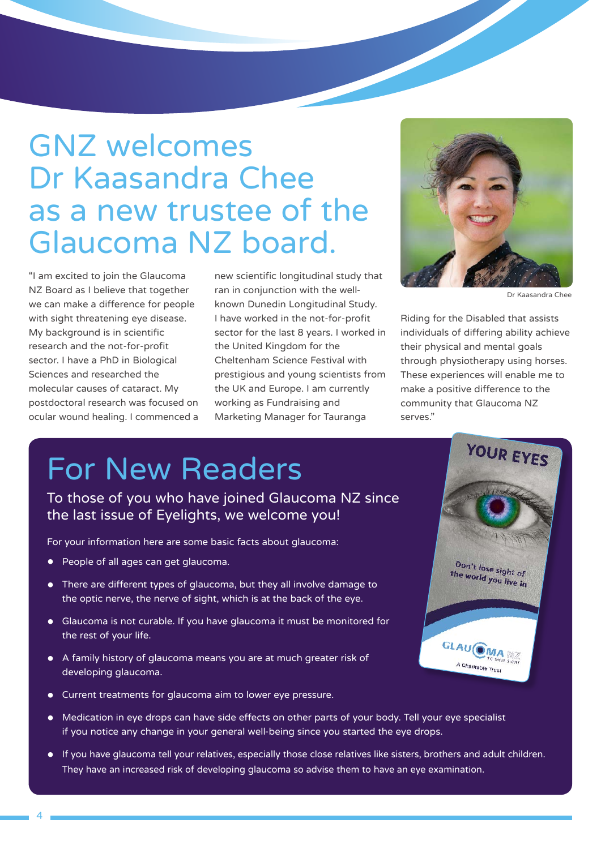## GNZ welcomes Dr Kaasandra Chee as a new trustee of the Glaucoma NZ board.

"I am excited to join the Glaucoma NZ Board as I believe that together we can make a difference for people with sight threatening eye disease. My background is in scientific research and the not-for-profit sector. I have a PhD in Biological Sciences and researched the molecular causes of cataract. My postdoctoral research was focused on ocular wound healing. I commenced a

new scientific longitudinal study that ran in conjunction with the wellknown Dunedin Longitudinal Study. I have worked in the not-for-profit sector for the last 8 years. I worked in the United Kingdom for the Cheltenham Science Festival with prestigious and young scientists from the UK and Europe. I am currently working as Fundraising and Marketing Manager for Tauranga



Dr Kaasandra Chee

Riding for the Disabled that assists individuals of differing ability achieve their physical and mental goals through physiotherapy using horses. These experiences will enable me to make a positive difference to the community that Glaucoma NZ serves."

## For New Readers

To those of you who have joined Glaucoma NZ since the last issue of Eyelights, we welcome you!

For your information here are some basic facts about glaucoma:

- People of all ages can get glaucoma.
- There are different types of glaucoma, but they all involve damage to the optic nerve, the nerve of sight, which is at the back of the eye.
- Glaucoma is not curable. If you have glaucoma it must be monitored for the rest of your life.
- A family history of glaucoma means you are at much greater risk of developing glaucoma.
- Current treatments for glaucoma aim to lower eye pressure.
- Medication in eye drops can have side effects on other parts of your body. Tell your eye specialist if you notice any change in your general well-being since you started the eye drops.
- If you have glaucoma tell your relatives, especially those close relatives like sisters, brothers and adult children. They have an increased risk of developing glaucoma so advise them to have an eve examination.

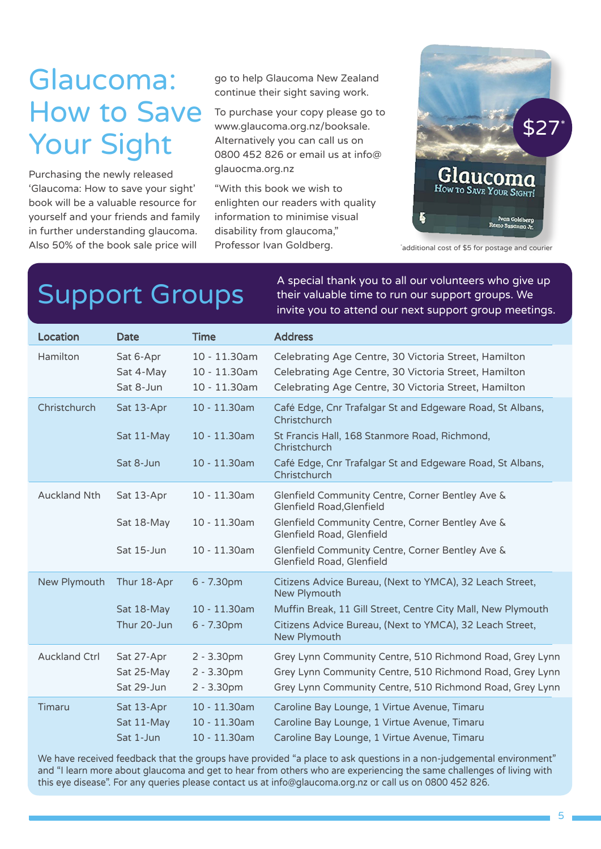## Glaucoma: How to Save Your Sight

Purchasing the newly released 'Glaucoma: How to save your sight' book will be a valuable resource for yourself and your friends and family in further understanding glaucoma. Also 50% of the book sale price will

go to help Glaucoma New Zealand continue their sight saving work.

To purchase your copy please go to www.glaucoma.org.nz/booksale. Alternatively you can call us on 0800 452 826 or email us at info@ glauocma.org.nz

"With this book we wish to enlighten our readers with quality information to minimise visual disability from glaucoma," Professor Ivan Goldberg.



\* additional cost of \$5 for postage and courier

A special thank you to all our volunteers who give up<br>Support Groups their valuable time to run our support groups. We their valuable time to run our support groups. We invite you to attend our next support group meetings.

| Location             | Date                                | <b>Time</b>                                  | <b>Address</b>                                                                                                                                                       |
|----------------------|-------------------------------------|----------------------------------------------|----------------------------------------------------------------------------------------------------------------------------------------------------------------------|
| Hamilton             | Sat 6-Apr<br>Sat 4-May<br>Sat 8-Jun | 10 - 11.30am<br>10 - 11.30am<br>10 - 11.30am | Celebrating Age Centre, 30 Victoria Street, Hamilton<br>Celebrating Age Centre, 30 Victoria Street, Hamilton<br>Celebrating Age Centre, 30 Victoria Street, Hamilton |
| Christchurch         | Sat 13-Apr                          | 10 - 11.30am                                 | Café Edge, Cnr Trafalgar St and Edgeware Road, St Albans,<br>Christchurch                                                                                            |
|                      | Sat 11-May                          | 10 - 11.30am                                 | St Francis Hall, 168 Stanmore Road, Richmond,<br>Christchurch                                                                                                        |
|                      | Sat 8-Jun                           | $10 - 11.30$ am                              | Café Edge, Cnr Trafalgar St and Edgeware Road, St Albans,<br>Christchurch                                                                                            |
| <b>Auckland Nth</b>  | Sat 13-Apr                          | 10 - 11.30am                                 | Glenfield Community Centre, Corner Bentley Ave &<br>Glenfield Road, Glenfield                                                                                        |
|                      | Sat 18-May                          | 10 - 11.30am                                 | Glenfield Community Centre, Corner Bentley Ave &<br>Glenfield Road, Glenfield                                                                                        |
|                      | Sat 15-Jun                          | 10 - 11.30am                                 | Glenfield Community Centre, Corner Bentley Ave &<br>Glenfield Road, Glenfield                                                                                        |
| New Plymouth         | Thur 18-Apr                         | 6 - 7.30pm                                   | Citizens Advice Bureau, (Next to YMCA), 32 Leach Street,<br>New Plymouth                                                                                             |
|                      | Sat 18-May                          | 10 - 11.30am                                 | Muffin Break, 11 Gill Street, Centre City Mall, New Plymouth                                                                                                         |
|                      | Thur 20-Jun                         | 6 - 7.30pm                                   | Citizens Advice Bureau, (Next to YMCA), 32 Leach Street,<br>New Plymouth                                                                                             |
| <b>Auckland Ctrl</b> | Sat 27-Apr                          | $2 - 3.30pm$                                 | Grey Lynn Community Centre, 510 Richmond Road, Grey Lynn                                                                                                             |
|                      | Sat 25-May<br>Sat 29-Jun            | $2 - 3.30pm$<br>$2 - 3.30pm$                 | Grey Lynn Community Centre, 510 Richmond Road, Grey Lynn<br>Grey Lynn Community Centre, 510 Richmond Road, Grey Lynn                                                 |
| Timaru               | Sat 13-Apr                          | $10 - 11.30$ am                              | Caroline Bay Lounge, 1 Virtue Avenue, Timaru                                                                                                                         |
|                      | Sat 11-May<br>Sat 1-Jun             | 10 - 11.30am<br>10 - 11.30am                 | Caroline Bay Lounge, 1 Virtue Avenue, Timaru<br>Caroline Bay Lounge, 1 Virtue Avenue, Timaru                                                                         |

We have received feedback that the groups have provided "a place to ask questions in a non-judgemental environment" and "I learn more about glaucoma and get to hear from others who are experiencing the same challenges of living with this eye disease". For any queries please contact us at info@glaucoma.org.nz or call us on 0800 452 826.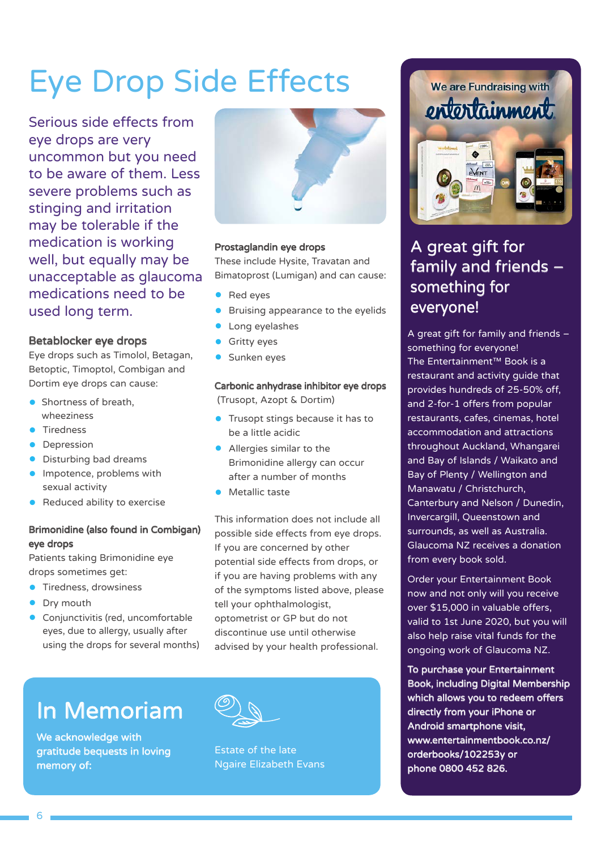## Eye Drop Side Effects

Serious side effects from eye drops are very uncommon but you need to be aware of them. Less severe problems such as stinging and irritation may be tolerable if the medication is working well, but equally may be unacceptable as glaucoma medications need to be used long term.

#### Betablocker eye drops

Eye drops such as Timolol, Betagan, Betoptic, Timoptol, Combigan and Dortim eye drops can cause:

- **•** Shortness of breath, wheeziness
- **Tiredness**
- **•** Depression
- **•** Disturbing bad dreams
- **•** Impotence, problems with sexual activity
- Reduced ability to exercise

#### Brimonidine (also found in Combigan) eye drops

Patients taking Brimonidine eye drops sometimes get:

- **•** Tiredness, drowsiness
- Dry mouth
- **•** Conjunctivitis (red, uncomfortable eyes, due to allergy, usually after using the drops for several months)



#### Prostaglandin eye drops

These include Hysite, Travatan and Bimatoprost (Lumigan) and can cause:

- Red eyes
- Bruising appearance to the eyelids
- Long eyelashes
- **Gritty eyes**
- Sunken eyes

#### Carbonic anhydrase inhibitor eye drops

(Trusopt, Azopt & Dortim)

- **•** Trusopt stings because it has to be a little acidic
- Allergies similar to the Brimonidine allergy can occur after a number of months
- **•** Metallic taste

This information does not include all possible side effects from eye drops. If you are concerned by other potential side effects from drops, or if you are having problems with any of the symptoms listed above, please tell your ophthalmologist, optometrist or GP but do not discontinue use until otherwise advised by your health professional.

## In Memoriam

We acknowledge with gratitude bequests in loving memory of:



Estate of the late Ngaire Elizabeth Evans



### A great gift for family and friends – something for everyone!

A great gift for family and friends – something for everyone! The Entertainment™ Book is a restaurant and activity guide that provides hundreds of 25-50% off, and 2-for-1 offers from popular restaurants, cafes, cinemas, hotel accommodation and attractions throughout Auckland, Whangarei and Bay of Islands / Waikato and Bay of Plenty / Wellington and Manawatu / Christchurch, Canterbury and Nelson / Dunedin, Invercargill, Queenstown and surrounds, as well as Australia. Glaucoma NZ receives a donation from every book sold.

Order your Entertainment Book now and not only will you receive over \$15,000 in valuable offers, valid to 1st June 2020, but you will also help raise vital funds for the ongoing work of Glaucoma NZ.

To purchase your Entertainment Book, including Digital Membership which allows you to redeem offers directly from your iPhone or Android smartphone visit, www.entertainmentbook.co.nz/ orderbooks/102253y or phone 0800 452 826.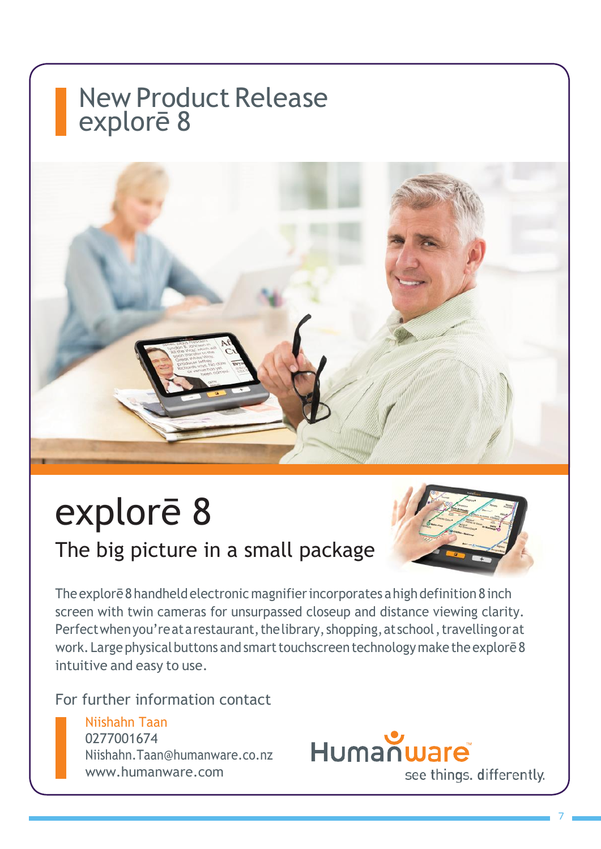## New Product Release explorē 8



# explorē 8

### The big picture in a small package



The explorē 8 handheld electronic magnifier incorporates a high definition 8 inch screen with twin cameras for unsurpassed closeup and distance viewing clarity. Perfect when you'reat a restaurant, the library, shopping, at school , travelling or at work. Large physical buttons and smart touchscreen technology make the explorē8 intuitive and easy to use.

For further information contact

#### Niishahn Taan 0277001674 Niishahn.Taan@humanware.co.nz

www.humanware.com